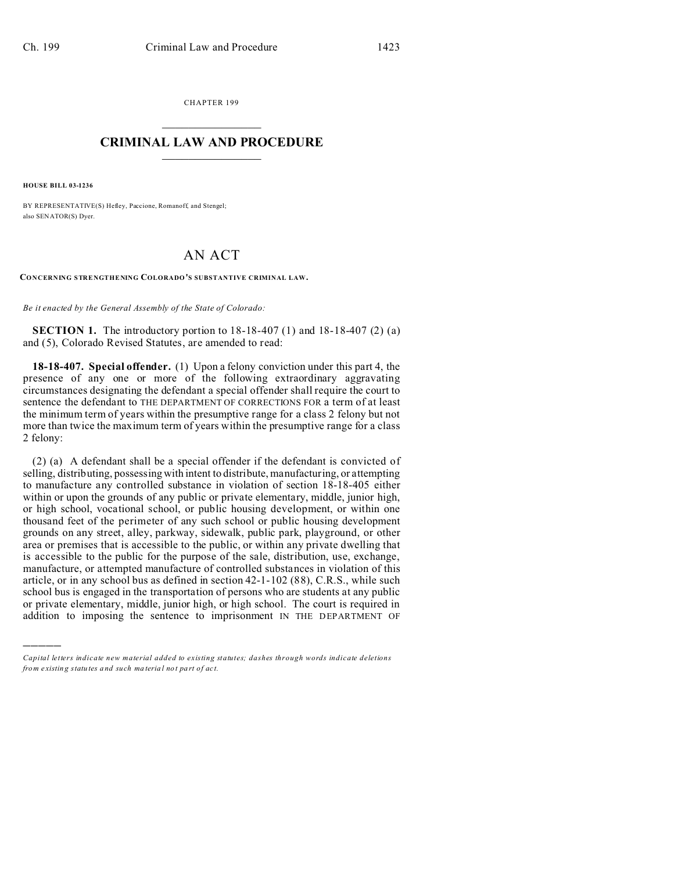CHAPTER 199  $\overline{\phantom{a}}$  , where  $\overline{\phantom{a}}$ 

## **CRIMINAL LAW AND PROCEDURE**  $\_$   $\_$   $\_$   $\_$   $\_$   $\_$   $\_$   $\_$   $\_$

**HOUSE BILL 03-1236**

)))))

BY REPRESENTATIVE(S) Hefley, Paccione, Romanoff, and Stengel; also SENATOR(S) Dyer.

## AN ACT

**CONCERNING STRENGTHENING COLORADO'S SUBSTANTIVE CRIMINAL LAW.**

*Be it enacted by the General Assembly of the State of Colorado:*

**SECTION 1.** The introductory portion to 18-18-407 (1) and 18-18-407 (2) (a) and (5), Colorado Revised Statutes, are amended to read:

**18-18-407. Special offender.** (1) Upon a felony conviction under this part 4, the presence of any one or more of the following extraordinary aggravating circumstances designating the defendant a special offender shall require the court to sentence the defendant to THE DEPARTMENT OF CORRECTIONS FOR a term of at least the minimum term of years within the presumptive range for a class 2 felony but not more than twice the maximum term of years within the presumptive range for a class 2 felony:

(2) (a) A defendant shall be a special offender if the defendant is convicted of selling, distributing, possessing with intent to distribute, manufacturing, or attempting to manufacture any controlled substance in violation of section 18-18-405 either within or upon the grounds of any public or private elementary, middle, junior high, or high school, vocational school, or public housing development, or within one thousand feet of the perimeter of any such school or public housing development grounds on any street, alley, parkway, sidewalk, public park, playground, or other area or premises that is accessible to the public, or within any private dwelling that is accessible to the public for the purpose of the sale, distribution, use, exchange, manufacture, or attempted manufacture of controlled substances in violation of this article, or in any school bus as defined in section 42-1-102 (88), C.R.S., while such school bus is engaged in the transportation of persons who are students at any public or private elementary, middle, junior high, or high school. The court is required in addition to imposing the sentence to imprisonment IN THE DEPARTMENT OF

*Capital letters indicate new material added to existing statutes; dashes through words indicate deletions from e xistin g statu tes a nd such ma teria l no t pa rt of ac t.*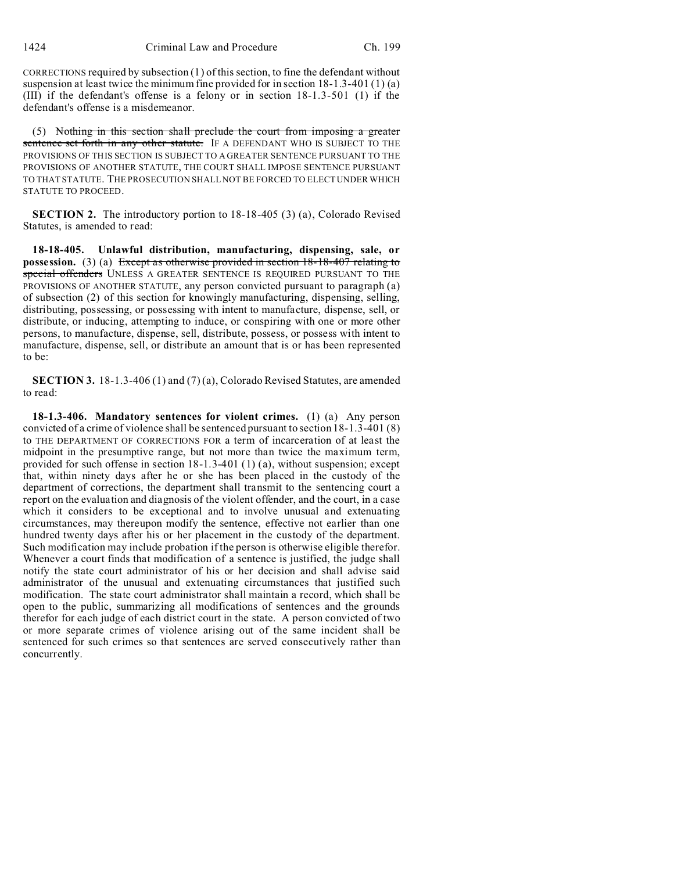CORRECTIONS required by subsection (1) of this section, to fine the defendant without suspension at least twice the minimum fine provided for in section  $18-1.3-401(1)(a)$ (III) if the defendant's offense is a felony or in section 18-1.3-501 (1) if the defendant's offense is a misdemeanor.

(5) Nothing in this section shall preclude the court from imposing a greater sentence set forth in any other statute. IF A DEFENDANT WHO IS SUBJECT TO THE PROVISIONS OF THIS SECTION IS SUBJECT TO A GREATER SENTENCE PURSUANT TO THE PROVISIONS OF ANOTHER STATUTE, THE COURT SHALL IMPOSE SENTENCE PURSUANT TO THAT STATUTE. THE PROSECUTION SHALL NOT BE FORCED TO ELECT UNDER WHICH STATUTE TO PROCEED.

**SECTION 2.** The introductory portion to 18-18-405 (3) (a), Colorado Revised Statutes, is amended to read:

**18-18-405. Unlawful distribution, manufacturing, dispensing, sale, or possession.** (3) (a) Except as otherwise provided in section 18-18-407 relating to special offenders UNLESS A GREATER SENTENCE IS REQUIRED PURSUANT TO THE PROVISIONS OF ANOTHER STATUTE, any person convicted pursuant to paragraph (a) of subsection (2) of this section for knowingly manufacturing, dispensing, selling, distributing, possessing, or possessing with intent to manufacture, dispense, sell, or distribute, or inducing, attempting to induce, or conspiring with one or more other persons, to manufacture, dispense, sell, distribute, possess, or possess with intent to manufacture, dispense, sell, or distribute an amount that is or has been represented to be:

**SECTION 3.** 18-1.3-406 (1) and (7) (a), Colorado Revised Statutes, are amended to read:

**18-1.3-406. Mandatory sentences for violent crimes.** (1) (a) Any person convicted of a crime of violence shall be sentenced pursuant to section 18-1.3-401 (8) to THE DEPARTMENT OF CORRECTIONS FOR a term of incarceration of at least the midpoint in the presumptive range, but not more than twice the maximum term, provided for such offense in section 18-1.3-401 (1) (a), without suspension; except that, within ninety days after he or she has been placed in the custody of the department of corrections, the department shall transmit to the sentencing court a report on the evaluation and diagnosis of the violent offender, and the court, in a case which it considers to be exceptional and to involve unusual and extenuating circumstances, may thereupon modify the sentence, effective not earlier than one hundred twenty days after his or her placement in the custody of the department. Such modification may include probation if the person is otherwise eligible therefor. Whenever a court finds that modification of a sentence is justified, the judge shall notify the state court administrator of his or her decision and shall advise said administrator of the unusual and extenuating circumstances that justified such modification. The state court administrator shall maintain a record, which shall be open to the public, summarizing all modifications of sentences and the grounds therefor for each judge of each district court in the state. A person convicted of two or more separate crimes of violence arising out of the same incident shall be sentenced for such crimes so that sentences are served consecutively rather than concurrently.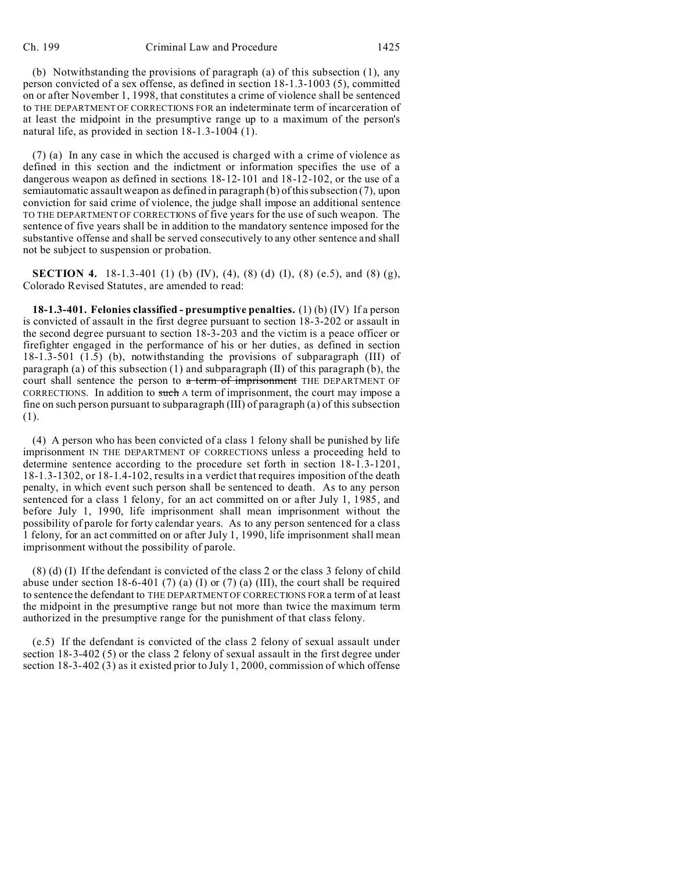(b) Notwithstanding the provisions of paragraph (a) of this subsection (1), any person convicted of a sex offense, as defined in section 18-1.3-1003 (5), committed on or after November 1, 1998, that constitutes a crime of violence shall be sentenced to THE DEPARTMENT OF CORRECTIONS FOR an indeterminate term of incarceration of at least the midpoint in the presumptive range up to a maximum of the person's natural life, as provided in section 18-1.3-1004 (1).

(7) (a) In any case in which the accused is charged with a crime of violence as defined in this section and the indictment or information specifies the use of a dangerous weapon as defined in sections 18-12-101 and 18-12-102, or the use of a semiautomatic assault weapon as defined in paragraph (b) of this subsection (7), upon conviction for said crime of violence, the judge shall impose an additional sentence TO THE DEPARTMENT OF CORRECTIONS of five years for the use of such weapon. The sentence of five years shall be in addition to the mandatory sentence imposed for the substantive offense and shall be served consecutively to any other sentence and shall not be subject to suspension or probation.

**SECTION 4.** 18-1.3-401 (1) (b) (IV), (4), (8) (d) (I), (8) (e.5), and (8) (g), Colorado Revised Statutes, are amended to read:

**18-1.3-401. Felonies classified - presumptive penalties.** (1) (b) (IV) If a person is convicted of assault in the first degree pursuant to section 18-3-202 or assault in the second degree pursuant to section 18-3-203 and the victim is a peace officer or firefighter engaged in the performance of his or her duties, as defined in section 18-1.3-501 (1.5) (b), notwithstanding the provisions of subparagraph (III) of paragraph (a) of this subsection (1) and subparagraph (II) of this paragraph (b), the court shall sentence the person to a term of imprisonment THE DEPARTMENT OF CORRECTIONS. In addition to such A term of imprisonment, the court may impose a fine on such person pursuant to subparagraph (III) of paragraph (a) of this subsection (1).

(4) A person who has been convicted of a class 1 felony shall be punished by life imprisonment IN THE DEPARTMENT OF CORRECTIONS unless a proceeding held to determine sentence according to the procedure set forth in section 18-1.3-1201, 18-1.3-1302, or 18-1.4-102, results in a verdict that requires imposition of the death penalty, in which event such person shall be sentenced to death. As to any person sentenced for a class 1 felony, for an act committed on or after July 1, 1985, and before July 1, 1990, life imprisonment shall mean imprisonment without the possibility of parole for forty calendar years. As to any person sentenced for a class 1 felony, for an act committed on or after July 1, 1990, life imprisonment shall mean imprisonment without the possibility of parole.

(8) (d) (I) If the defendant is convicted of the class 2 or the class 3 felony of child abuse under section 18-6-401 (7) (a) (I) or (7) (a) (III), the court shall be required to sentence the defendant to THE DEPARTMENT OF CORRECTIONS FOR a term of at least the midpoint in the presumptive range but not more than twice the maximum term authorized in the presumptive range for the punishment of that class felony.

(e.5) If the defendant is convicted of the class 2 felony of sexual assault under section 18-3-402 (5) or the class 2 felony of sexual assault in the first degree under section 18-3-402 (3) as it existed prior to July 1, 2000, commission of which offense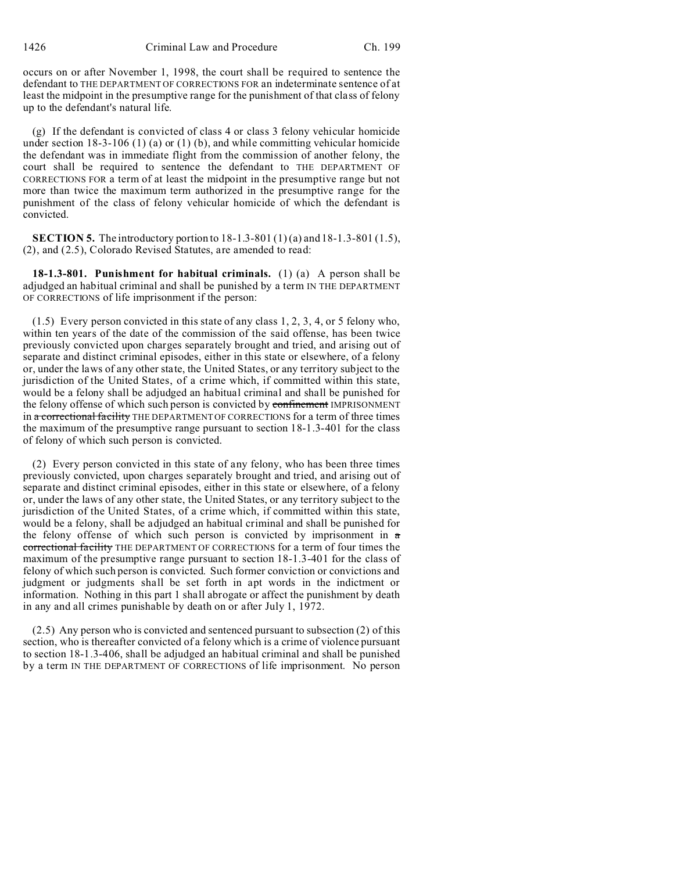occurs on or after November 1, 1998, the court shall be required to sentence the defendant to THE DEPARTMENT OF CORRECTIONS FOR an indeterminate sentence of at least the midpoint in the presumptive range for the punishment of that class of felony up to the defendant's natural life.

(g) If the defendant is convicted of class 4 or class 3 felony vehicular homicide under section  $18-3-106$  (1) (a) or (1) (b), and while committing vehicular homicide the defendant was in immediate flight from the commission of another felony, the court shall be required to sentence the defendant to THE DEPARTMENT OF CORRECTIONS FOR a term of at least the midpoint in the presumptive range but not more than twice the maximum term authorized in the presumptive range for the punishment of the class of felony vehicular homicide of which the defendant is convicted.

**SECTION 5.** The introductory portion to 18-1.3-801 (1) (a) and 18-1.3-801 (1.5), (2), and (2.5), Colorado Revised Statutes, are amended to read:

**18-1.3-801. Punishment for habitual criminals.** (1) (a) A person shall be adjudged an habitual criminal and shall be punished by a term IN THE DEPARTMENT OF CORRECTIONS of life imprisonment if the person:

(1.5) Every person convicted in this state of any class 1, 2, 3, 4, or 5 felony who, within ten years of the date of the commission of the said offense, has been twice previously convicted upon charges separately brought and tried, and arising out of separate and distinct criminal episodes, either in this state or elsewhere, of a felony or, under the laws of any other state, the United States, or any territory subject to the jurisdiction of the United States, of a crime which, if committed within this state, would be a felony shall be adjudged an habitual criminal and shall be punished for the felony offense of which such person is convicted by confinement IMPRISONMENT in a correctional facility THE DEPARTMENT OF CORRECTIONS for a term of three times the maximum of the presumptive range pursuant to section 18-1.3-401 for the class of felony of which such person is convicted.

(2) Every person convicted in this state of any felony, who has been three times previously convicted, upon charges separately brought and tried, and arising out of separate and distinct criminal episodes, either in this state or elsewhere, of a felony or, under the laws of any other state, the United States, or any territory subject to the jurisdiction of the United States, of a crime which, if committed within this state, would be a felony, shall be adjudged an habitual criminal and shall be punished for the felony offense of which such person is convicted by imprisonment in  $a$ correctional facility THE DEPARTMENT OF CORRECTIONS for a term of four times the maximum of the presumptive range pursuant to section 18-1.3-401 for the class of felony of which such person is convicted. Such former conviction or convictions and judgment or judgments shall be set forth in apt words in the indictment or information. Nothing in this part 1 shall abrogate or affect the punishment by death in any and all crimes punishable by death on or after July 1, 1972.

(2.5) Any person who is convicted and sentenced pursuant to subsection (2) of this section, who is thereafter convicted of a felony which is a crime of violence pursuant to section 18-1.3-406, shall be adjudged an habitual criminal and shall be punished by a term IN THE DEPARTMENT OF CORRECTIONS of life imprisonment. No person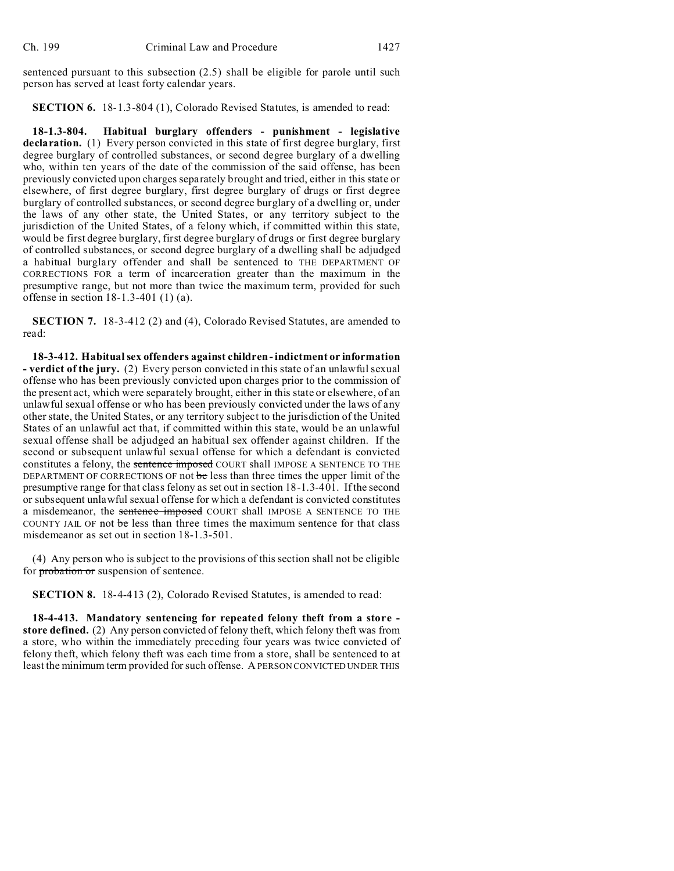sentenced pursuant to this subsection (2.5) shall be eligible for parole until such person has served at least forty calendar years.

**SECTION 6.** 18-1.3-804 (1), Colorado Revised Statutes, is amended to read:

**18-1.3-804. Habitual burglary offenders - punishment - legislative declaration.** (1) Every person convicted in this state of first degree burglary, first degree burglary of controlled substances, or second degree burglary of a dwelling who, within ten years of the date of the commission of the said offense, has been previously convicted upon charges separately brought and tried, either in this state or elsewhere, of first degree burglary, first degree burglary of drugs or first degree burglary of controlled substances, or second degree burglary of a dwelling or, under the laws of any other state, the United States, or any territory subject to the jurisdiction of the United States, of a felony which, if committed within this state, would be first degree burglary, first degree burglary of drugs or first degree burglary of controlled substances, or second degree burglary of a dwelling shall be adjudged a habitual burglary offender and shall be sentenced to THE DEPARTMENT OF CORRECTIONS FOR a term of incarceration greater than the maximum in the presumptive range, but not more than twice the maximum term, provided for such offense in section 18-1.3-401 (1) (a).

**SECTION 7.** 18-3-412 (2) and (4), Colorado Revised Statutes, are amended to read:

**18-3-412. Habitual sex offenders against children- indictment or information - verdict of the jury.** (2) Every person convicted in this state of an unlawful sexual offense who has been previously convicted upon charges prior to the commission of the present act, which were separately brought, either in this state or elsewhere, of an unlawful sexual offense or who has been previously convicted under the laws of any other state, the United States, or any territory subject to the jurisdiction of the United States of an unlawful act that, if committed within this state, would be an unlawful sexual offense shall be adjudged an habitual sex offender against children. If the second or subsequent unlawful sexual offense for which a defendant is convicted constitutes a felony, the sentence imposed COURT shall IMPOSE A SENTENCE TO THE DEPARTMENT OF CORRECTIONS OF not be less than three times the upper limit of the presumptive range for that class felony as set out in section 18-1.3-401. If the second or subsequent unlawful sexual offense for which a defendant is convicted constitutes a misdemeanor, the sentence imposed COURT shall IMPOSE A SENTENCE TO THE COUNTY JAIL OF not be less than three times the maximum sentence for that class misdemeanor as set out in section 18-1.3-501.

(4) Any person who is subject to the provisions of this section shall not be eligible for probation or suspension of sentence.

**SECTION 8.** 18-4-413 (2), Colorado Revised Statutes, is amended to read:

**18-4-413. Mandatory sentencing for repeated felony theft from a store store defined.** (2) Any person convicted of felony theft, which felony theft was from a store, who within the immediately preceding four years was twice convicted of felony theft, which felony theft was each time from a store, shall be sentenced to at least the minimum term provided for such offense. A PERSON CONVICTED UNDER THIS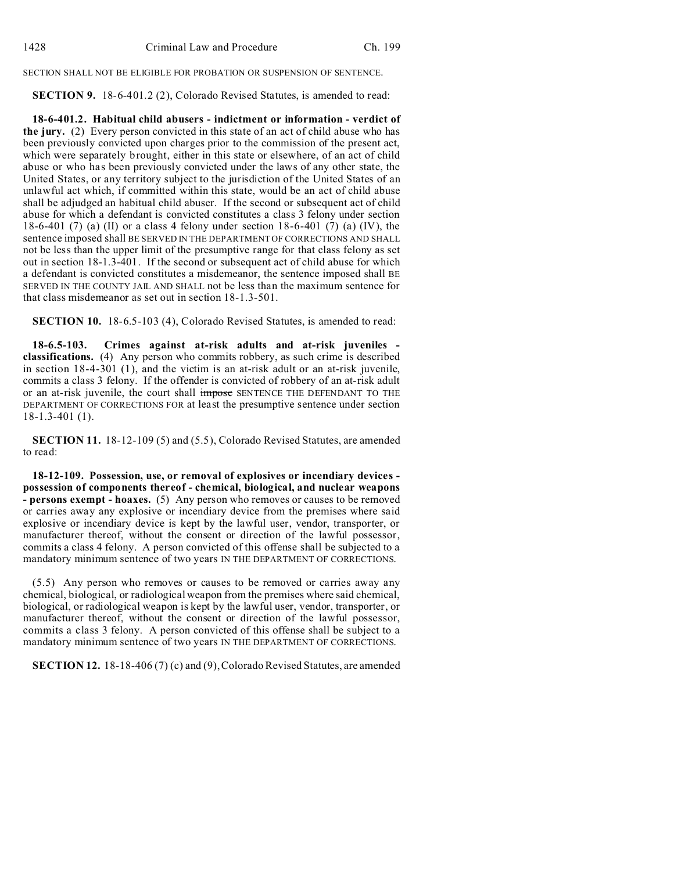SECTION SHALL NOT BE ELIGIBLE FOR PROBATION OR SUSPENSION OF SENTENCE.

**SECTION 9.** 18-6-401.2 (2), Colorado Revised Statutes, is amended to read:

**18-6-401.2. Habitual child abusers - indictment or information - verdict of the jury.** (2) Every person convicted in this state of an act of child abuse who has been previously convicted upon charges prior to the commission of the present act, which were separately brought, either in this state or elsewhere, of an act of child abuse or who has been previously convicted under the laws of any other state, the United States, or any territory subject to the jurisdiction of the United States of an unlawful act which, if committed within this state, would be an act of child abuse shall be adjudged an habitual child abuser. If the second or subsequent act of child abuse for which a defendant is convicted constitutes a class 3 felony under section 18-6-401 (7) (a) (II) or a class 4 felony under section 18-6-401 (7) (a) (IV), the sentence imposed shall BE SERVED IN THE DEPARTMENT OF CORRECTIONS AND SHALL not be less than the upper limit of the presumptive range for that class felony as set out in section 18-1.3-401. If the second or subsequent act of child abuse for which a defendant is convicted constitutes a misdemeanor, the sentence imposed shall BE SERVED IN THE COUNTY JAIL AND SHALL not be less than the maximum sentence for that class misdemeanor as set out in section 18-1.3-501.

**SECTION 10.** 18-6.5-103 (4), Colorado Revised Statutes, is amended to read:

**18-6.5-103. Crimes against at-risk adults and at-risk juveniles classifications.** (4) Any person who commits robbery, as such crime is described in section 18-4-301 (1), and the victim is an at-risk adult or an at-risk juvenile, commits a class 3 felony. If the offender is convicted of robbery of an at-risk adult or an at-risk juvenile, the court shall impose SENTENCE THE DEFENDANT TO THE DEPARTMENT OF CORRECTIONS FOR at least the presumptive sentence under section 18-1.3-401 (1).

**SECTION 11.** 18-12-109 (5) and (5.5), Colorado Revised Statutes, are amended to read:

**18-12-109. Possession, use, or removal of explosives or incendiary devices possession of components thereof - chemical, biological, and nuclear weapons - persons exempt - hoaxes.** (5) Any person who removes or causes to be removed or carries away any explosive or incendiary device from the premises where said explosive or incendiary device is kept by the lawful user, vendor, transporter, or manufacturer thereof, without the consent or direction of the lawful possessor, commits a class 4 felony. A person convicted of this offense shall be subjected to a mandatory minimum sentence of two years IN THE DEPARTMENT OF CORRECTIONS.

(5.5) Any person who removes or causes to be removed or carries away any chemical, biological, or radiological weapon from the premises where said chemical, biological, or radiological weapon is kept by the lawful user, vendor, transporter, or manufacturer thereof, without the consent or direction of the lawful possessor, commits a class 3 felony. A person convicted of this offense shall be subject to a mandatory minimum sentence of two years IN THE DEPARTMENT OF CORRECTIONS.

**SECTION 12.** 18-18-406 (7) (c) and (9), Colorado Revised Statutes, are amended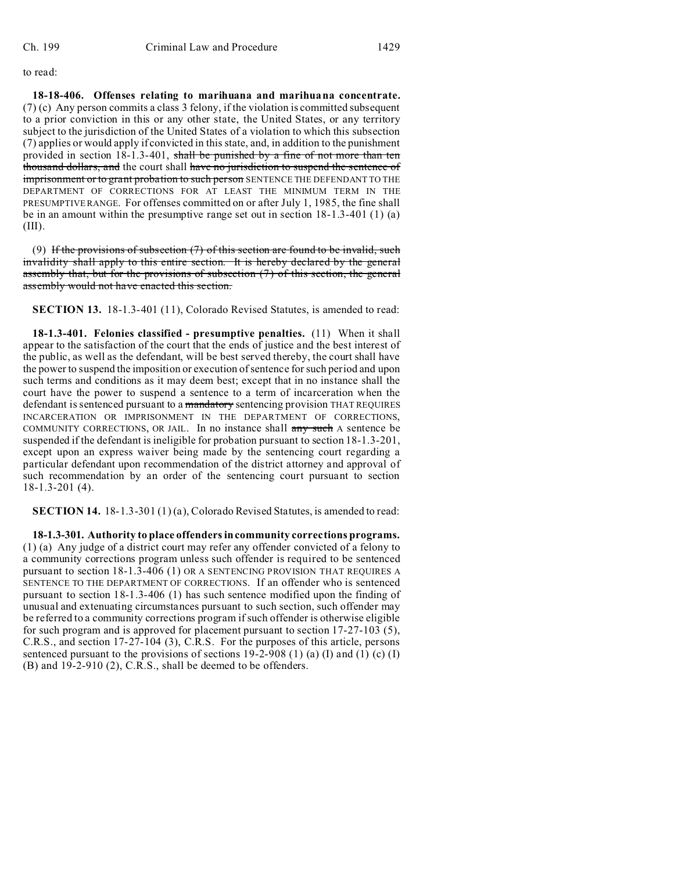to read:

**18-18-406. Offenses relating to marihuana and marihuana concentrate.** (7) (c) Any person commits a class 3 felony, if the violation is committed subsequent to a prior conviction in this or any other state, the United States, or any territory subject to the jurisdiction of the United States of a violation to which this subsection (7) applies or would apply if convicted in this state, and, in addition to the punishment provided in section 18-1.3-401, shall be punished by a fine of not more than ten thousand dollars, and the court shall have no jurisdiction to suspend the sentence of imprisonment or to grant probation to such person SENTENCE THE DEFENDANT TO THE DEPARTMENT OF CORRECTIONS FOR AT LEAST THE MINIMUM TERM IN THE PRESUMPTIVE RANGE. For offenses committed on or after July 1, 1985, the fine shall be in an amount within the presumptive range set out in section  $18-1.3-401(1)$  (a) (III).

(9) If the provisions of subsection  $(7)$  of this section are found to be invalid, such invalidity shall apply to this entire section. It is hereby declared by the general assembly that, but for the provisions of subsection (7) of this section, the general assembly would not have enacted this section.

**SECTION 13.** 18-1.3-401 (11), Colorado Revised Statutes, is amended to read:

**18-1.3-401. Felonies classified - presumptive penalties.** (11) When it shall appear to the satisfaction of the court that the ends of justice and the best interest of the public, as well as the defendant, will be best served thereby, the court shall have the power to suspend the imposition or execution of sentence for such period and upon such terms and conditions as it may deem best; except that in no instance shall the court have the power to suspend a sentence to a term of incarceration when the defendant is sentenced pursuant to a mandatory sentencing provision THAT REQUIRES INCARCERATION OR IMPRISONMENT IN THE DEPARTMENT OF CORRECTIONS, COMMUNITY CORRECTIONS, OR JAIL. In no instance shall any such A sentence be suspended if the defendant is ineligible for probation pursuant to section 18-1.3-201, except upon an express waiver being made by the sentencing court regarding a particular defendant upon recommendation of the district attorney and approval of such recommendation by an order of the sentencing court pursuant to section 18-1.3-201 (4).

**SECTION 14.** 18-1.3-301 (1) (a), Colorado Revised Statutes, is amended to read:

**18-1.3-301. Authority to place offenders in community corrections programs.** (1) (a) Any judge of a district court may refer any offender convicted of a felony to a community corrections program unless such offender is required to be sentenced pursuant to section 18-1.3-406 (1) OR A SENTENCING PROVISION THAT REQUIRES A SENTENCE TO THE DEPARTMENT OF CORRECTIONS. If an offender who is sentenced pursuant to section 18-1.3-406 (1) has such sentence modified upon the finding of unusual and extenuating circumstances pursuant to such section, such offender may be referred to a community corrections program if such offender is otherwise eligible for such program and is approved for placement pursuant to section 17-27-103 (5), C.R.S., and section 17-27-104 (3), C.R.S. For the purposes of this article, persons sentenced pursuant to the provisions of sections  $19-2-908$  (1) (a) (I) and (1) (c) (I) (B) and 19-2-910 (2), C.R.S., shall be deemed to be offenders.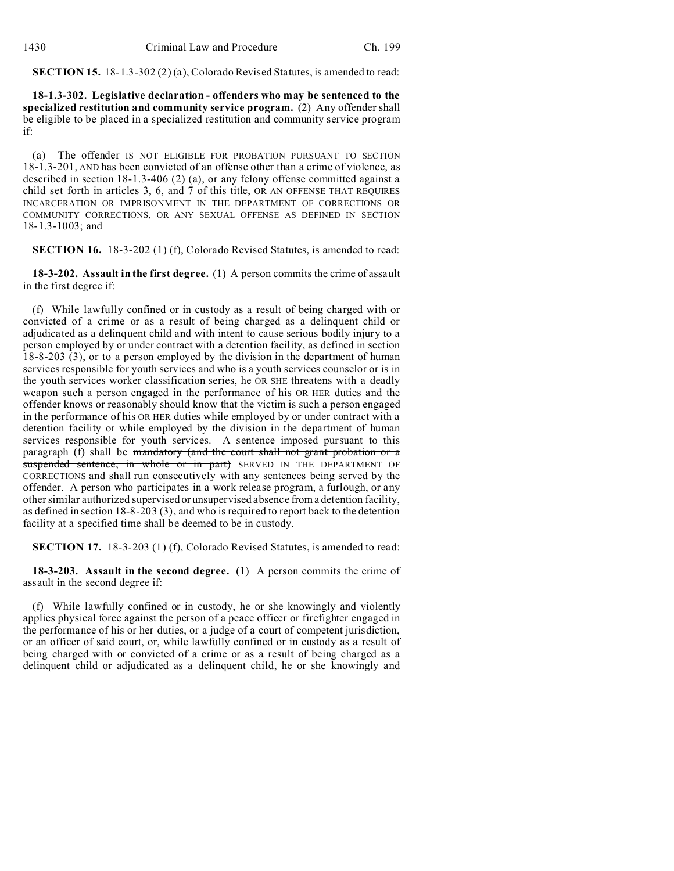**SECTION 15.** 18-1.3-302 (2) (a), Colorado Revised Statutes, is amended to read:

**18-1.3-302. Legislative declaration - offenders who may be sentenced to the specialized restitution and community service program.** (2) Any offender shall be eligible to be placed in a specialized restitution and community service program if:

(a) The offender IS NOT ELIGIBLE FOR PROBATION PURSUANT TO SECTION 18-1.3-201, AND has been convicted of an offense other than a crime of violence, as described in section 18-1.3-406 (2) (a), or any felony offense committed against a child set forth in articles 3, 6, and 7 of this title, OR AN OFFENSE THAT REQUIRES INCARCERATION OR IMPRISONMENT IN THE DEPARTMENT OF CORRECTIONS OR COMMUNITY CORRECTIONS, OR ANY SEXUAL OFFENSE AS DEFINED IN SECTION 18-1.3-1003; and

**SECTION 16.** 18-3-202 (1) (f), Colorado Revised Statutes, is amended to read:

**18-3-202. Assault in the first degree.** (1) A person commits the crime of assault in the first degree if:

(f) While lawfully confined or in custody as a result of being charged with or convicted of a crime or as a result of being charged as a delinquent child or adjudicated as a delinquent child and with intent to cause serious bodily injury to a person employed by or under contract with a detention facility, as defined in section 18-8-203 (3), or to a person employed by the division in the department of human services responsible for youth services and who is a youth services counselor or is in the youth services worker classification series, he OR SHE threatens with a deadly weapon such a person engaged in the performance of his OR HER duties and the offender knows or reasonably should know that the victim is such a person engaged in the performance of his OR HER duties while employed by or under contract with a detention facility or while employed by the division in the department of human services responsible for youth services. A sentence imposed pursuant to this paragraph (f) shall be mandatory (and the court shall not grant probation or a suspended sentence, in whole or in part) SERVED IN THE DEPARTMENT OF CORRECTIONS and shall run consecutively with any sentences being served by the offender. A person who participates in a work release program, a furlough, or any other similar authorized supervised or unsupervised absence from a detention facility, as defined in section 18-8-203 (3), and who is required to report back to the detention facility at a specified time shall be deemed to be in custody.

**SECTION 17.** 18-3-203 (1) (f), Colorado Revised Statutes, is amended to read:

**18-3-203. Assault in the second degree.** (1) A person commits the crime of assault in the second degree if:

(f) While lawfully confined or in custody, he or she knowingly and violently applies physical force against the person of a peace officer or firefighter engaged in the performance of his or her duties, or a judge of a court of competent jurisdiction, or an officer of said court, or, while lawfully confined or in custody as a result of being charged with or convicted of a crime or as a result of being charged as a delinquent child or adjudicated as a delinquent child, he or she knowingly and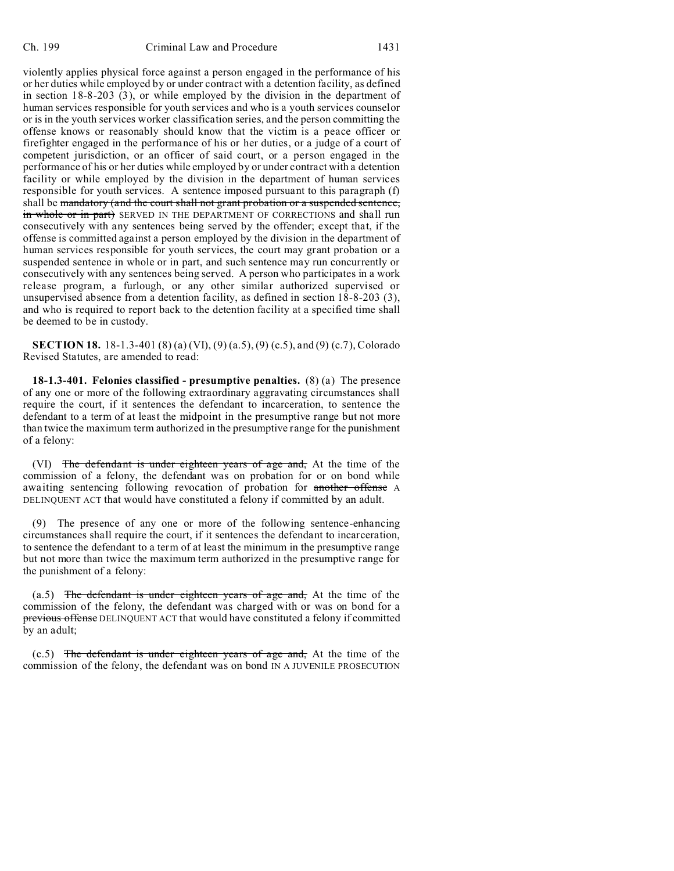violently applies physical force against a person engaged in the performance of his or her duties while employed by or under contract with a detention facility, as defined in section 18-8-203 (3), or while employed by the division in the department of human services responsible for youth services and who is a youth services counselor or is in the youth services worker classification series, and the person committing the offense knows or reasonably should know that the victim is a peace officer or firefighter engaged in the performance of his or her duties, or a judge of a court of competent jurisdiction, or an officer of said court, or a person engaged in the performance of his or her duties while employed by or under contract with a detention facility or while employed by the division in the department of human services responsible for youth services. A sentence imposed pursuant to this paragraph (f) shall be mandatory (and the court shall not grant probation or a suspended sentence, in whole or in part) SERVED IN THE DEPARTMENT OF CORRECTIONS and shall run consecutively with any sentences being served by the offender; except that, if the offense is committed against a person employed by the division in the department of human services responsible for youth services, the court may grant probation or a suspended sentence in whole or in part, and such sentence may run concurrently or consecutively with any sentences being served. A person who participates in a work release program, a furlough, or any other similar authorized supervised or unsupervised absence from a detention facility, as defined in section 18-8-203 (3), and who is required to report back to the detention facility at a specified time shall be deemed to be in custody.

**SECTION 18.** 18-1.3-401 (8) (a) (VI), (9) (a.5), (9) (c.5), and (9) (c.7), Colorado Revised Statutes, are amended to read:

**18-1.3-401. Felonies classified - presumptive penalties.** (8) (a) The presence of any one or more of the following extraordinary aggravating circumstances shall require the court, if it sentences the defendant to incarceration, to sentence the defendant to a term of at least the midpoint in the presumptive range but not more than twice the maximum term authorized in the presumptive range for the punishment of a felony:

(VI) The defendant is under eighteen years of age and, At the time of the commission of a felony, the defendant was on probation for or on bond while awaiting sentencing following revocation of probation for another offense A DELINQUENT ACT that would have constituted a felony if committed by an adult.

(9) The presence of any one or more of the following sentence-enhancing circumstances shall require the court, if it sentences the defendant to incarceration, to sentence the defendant to a term of at least the minimum in the presumptive range but not more than twice the maximum term authorized in the presumptive range for the punishment of a felony:

 $(a.5)$  The defendant is under eighteen years of age and, At the time of the commission of the felony, the defendant was charged with or was on bond for a previous offense DELINQUENT ACT that would have constituted a felony if committed by an adult;

 $(c.5)$  The defendant is under eighteen years of age and, At the time of the commission of the felony, the defendant was on bond IN A JUVENILE PROSECUTION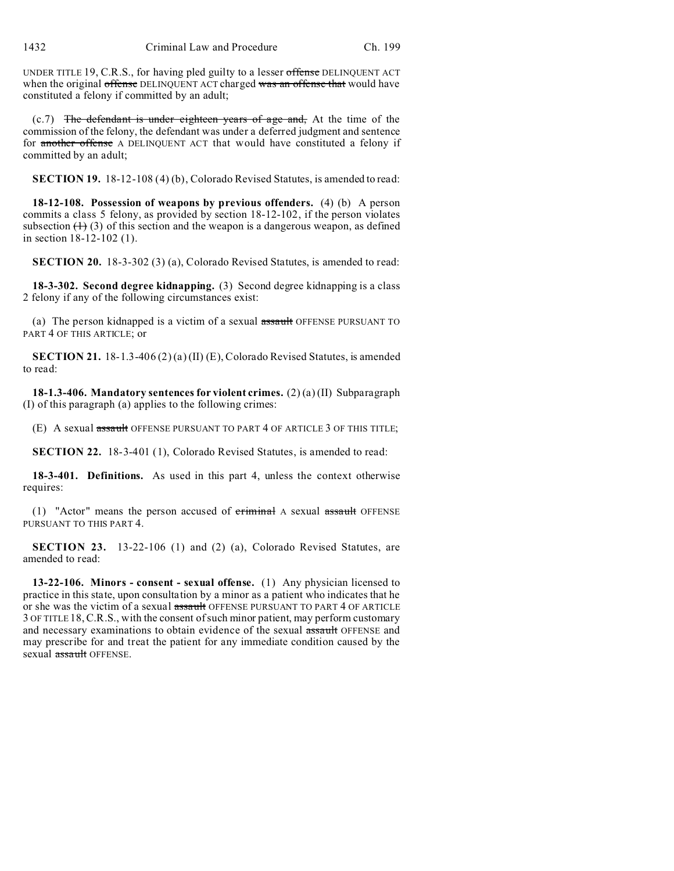UNDER TITLE 19, C.R.S., for having pled guilty to a lesser offense DELINQUENT ACT when the original offense DELINQUENT ACT charged was an offense that would have constituted a felony if committed by an adult;

 $(c.7)$  The defendant is under eighteen years of age and, At the time of the commission of the felony, the defendant was under a deferred judgment and sentence for another offense A DELINQUENT ACT that would have constituted a felony if committed by an adult;

**SECTION 19.** 18-12-108 (4) (b), Colorado Revised Statutes, is amended to read:

**18-12-108. Possession of weapons by previous offenders.** (4) (b) A person commits a class 5 felony, as provided by section 18-12-102, if the person violates subsection  $(1)$  (3) of this section and the weapon is a dangerous weapon, as defined in section 18-12-102 (1).

**SECTION 20.** 18-3-302 (3) (a), Colorado Revised Statutes, is amended to read:

**18-3-302. Second degree kidnapping.** (3) Second degree kidnapping is a class 2 felony if any of the following circumstances exist:

(a) The person kidnapped is a victim of a sexual assault OFFENSE PURSUANT TO PART 4 OF THIS ARTICLE; or

**SECTION 21.** 18-1.3-406 (2) (a) (II) (E), Colorado Revised Statutes, is amended to read:

**18-1.3-406. Mandatory sentences for violent crimes.** (2) (a) (II) Subparagraph (I) of this paragraph (a) applies to the following crimes:

(E) A sexual assault OFFENSE PURSUANT TO PART 4 OF ARTICLE 3 OF THIS TITLE;

**SECTION 22.** 18-3-401 (1), Colorado Revised Statutes, is amended to read:

**18-3-401. Definitions.** As used in this part 4, unless the context otherwise requires:

(1) "Actor" means the person accused of criminal A sexual assault OFFENSE PURSUANT TO THIS PART 4.

**SECTION 23.** 13-22-106 (1) and (2) (a), Colorado Revised Statutes, are amended to read:

**13-22-106. Minors - consent - sexual offense.** (1) Any physician licensed to practice in this state, upon consultation by a minor as a patient who indicates that he or she was the victim of a sexual assault OFFENSE PURSUANT TO PART 4 OF ARTICLE 3 OF TITLE 18,C.R.S., with the consent of such minor patient, may perform customary and necessary examinations to obtain evidence of the sexual assault OFFENSE and may prescribe for and treat the patient for any immediate condition caused by the sexual assault OFFENSE.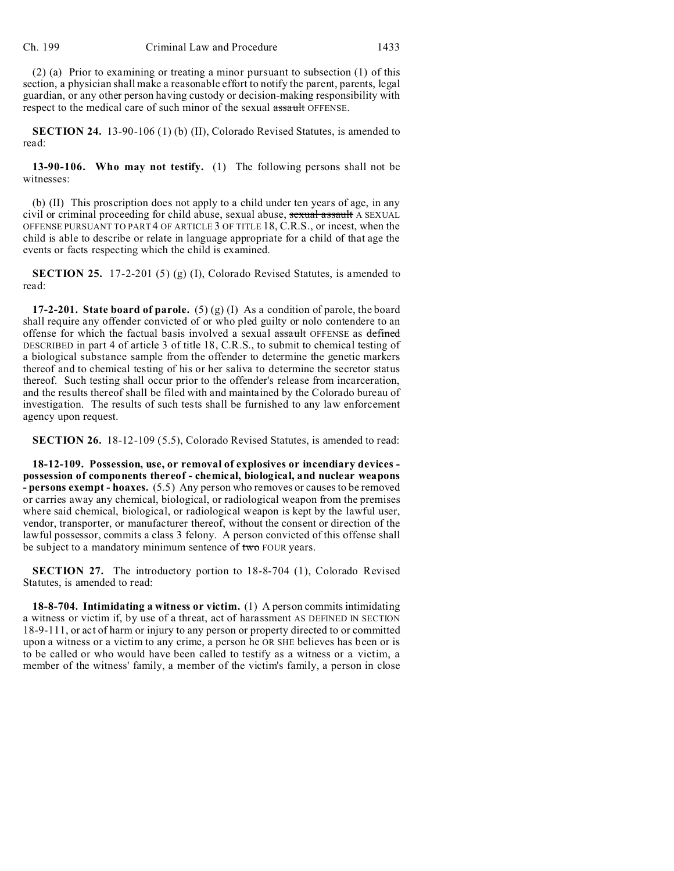(2) (a) Prior to examining or treating a minor pursuant to subsection (1) of this section, a physician shall make a reasonable effort to notify the parent, parents, legal guardian, or any other person having custody or decision-making responsibility with respect to the medical care of such minor of the sexual assault OFFENSE.

**SECTION 24.** 13-90-106 (1) (b) (II), Colorado Revised Statutes, is amended to read:

**13-90-106. Who may not testify.** (1) The following persons shall not be witnesses:

(b) (II) This proscription does not apply to a child under ten years of age, in any civil or criminal proceeding for child abuse, sexual abuse, sexual assault A SEXUAL OFFENSE PURSUANT TO PART 4 OF ARTICLE 3 OF TITLE 18, C.R.S., or incest, when the child is able to describe or relate in language appropriate for a child of that age the events or facts respecting which the child is examined.

**SECTION 25.** 17-2-201 (5) (g) (I), Colorado Revised Statutes, is amended to read:

**17-2-201. State board of parole.** (5) (g) (I) As a condition of parole, the board shall require any offender convicted of or who pled guilty or nolo contendere to an offense for which the factual basis involved a sexual assault OFFENSE as defined DESCRIBED in part 4 of article 3 of title 18, C.R.S., to submit to chemical testing of a biological substance sample from the offender to determine the genetic markers thereof and to chemical testing of his or her saliva to determine the secretor status thereof. Such testing shall occur prior to the offender's release from incarceration, and the results thereof shall be filed with and maintained by the Colorado bureau of investigation. The results of such tests shall be furnished to any law enforcement agency upon request.

**SECTION 26.** 18-12-109 (5.5), Colorado Revised Statutes, is amended to read:

**18-12-109. Possession, use, or removal of explosives or incendiary devices possession of components thereof - chemical, biological, and nuclear weapons - persons exempt - hoaxes.** (5.5) Any person who removes or causes to be removed or carries away any chemical, biological, or radiological weapon from the premises where said chemical, biological, or radiological weapon is kept by the lawful user, vendor, transporter, or manufacturer thereof, without the consent or direction of the lawful possessor, commits a class 3 felony. A person convicted of this offense shall be subject to a mandatory minimum sentence of two FOUR years.

**SECTION 27.** The introductory portion to 18-8-704 (1), Colorado Revised Statutes, is amended to read:

**18-8-704. Intimidating a witness or victim.** (1) A person commits intimidating a witness or victim if, by use of a threat, act of harassment AS DEFINED IN SECTION 18-9-111, or act of harm or injury to any person or property directed to or committed upon a witness or a victim to any crime, a person he OR SHE believes has been or is to be called or who would have been called to testify as a witness or a victim, a member of the witness' family, a member of the victim's family, a person in close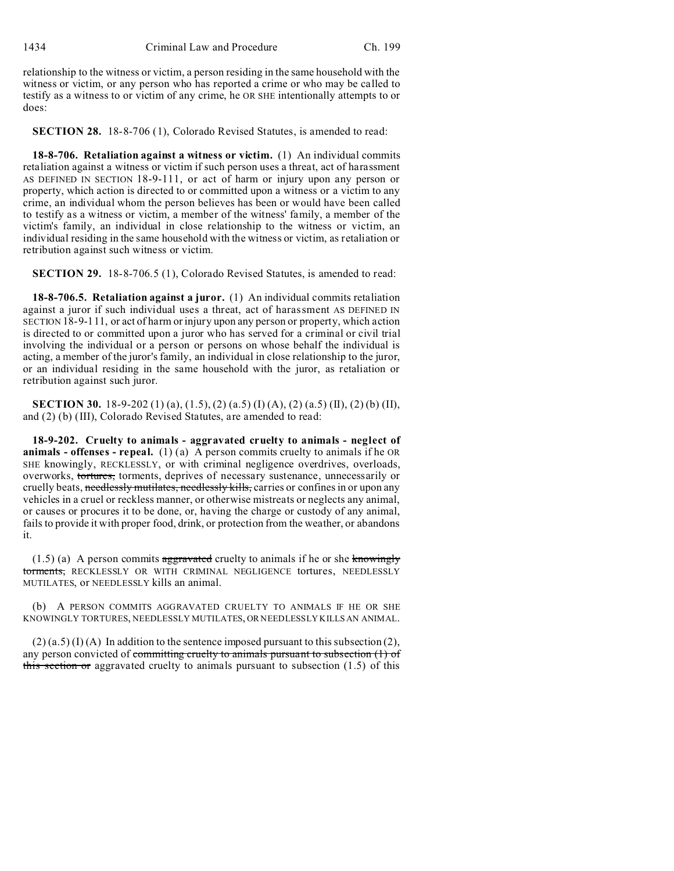relationship to the witness or victim, a person residing in the same household with the witness or victim, or any person who has reported a crime or who may be called to testify as a witness to or victim of any crime, he OR SHE intentionally attempts to or does:

**SECTION 28.** 18-8-706 (1), Colorado Revised Statutes, is amended to read:

**18-8-706. Retaliation against a witness or victim.** (1) An individual commits retaliation against a witness or victim if such person uses a threat, act of harassment AS DEFINED IN SECTION 18-9-111, or act of harm or injury upon any person or property, which action is directed to or committed upon a witness or a victim to any crime, an individual whom the person believes has been or would have been called to testify as a witness or victim, a member of the witness' family, a member of the victim's family, an individual in close relationship to the witness or victim, an individual residing in the same household with the witness or victim, as retaliation or retribution against such witness or victim.

**SECTION 29.** 18-8-706.5 (1), Colorado Revised Statutes, is amended to read:

**18-8-706.5. Retaliation against a juror.** (1) An individual commits retaliation against a juror if such individual uses a threat, act of harassment AS DEFINED IN SECTION 18-9-111, or act of harm or injury upon any person or property, which action is directed to or committed upon a juror who has served for a criminal or civil trial involving the individual or a person or persons on whose behalf the individual is acting, a member of the juror's family, an individual in close relationship to the juror, or an individual residing in the same household with the juror, as retaliation or retribution against such juror.

**SECTION 30.** 18-9-202 (1) (a), (1.5), (2) (a.5) (I) (A), (2) (a.5) (II), (2) (b) (II), and (2) (b) (III), Colorado Revised Statutes, are amended to read:

**18-9-202. Cruelty to animals - aggravated cruelty to animals - neglect of animals - offenses - repeal.** (1) (a) A person commits cruelty to animals if he OR SHE knowingly, RECKLESSLY, or with criminal negligence overdrives, overloads, overworks, tortures, torments, deprives of necessary sustenance, unnecessarily or cruelly beats, needlessly mutilates, needlessly kills, carries or confines in or upon any vehicles in a cruel or reckless manner, or otherwise mistreats or neglects any animal, or causes or procures it to be done, or, having the charge or custody of any animal, fails to provide it with proper food, drink, or protection from the weather, or abandons it.

 $(1.5)$  (a) A person commits aggravated cruelty to animals if he or she knowingly torments, RECKLESSLY OR WITH CRIMINAL NEGLIGENCE tortures, NEEDLESSLY MUTILATES, or NEEDLESSLY kills an animal.

(b) A PERSON COMMITS AGGRAVATED CRUELTY TO ANIMALS IF HE OR SHE KNOWINGLY TORTURES, NEEDLESSLY MUTILATES, OR NEEDLESSLY KILLS AN ANIMAL.

 $(2)$  (a.5) (I) (A) In addition to the sentence imposed pursuant to this subsection (2), any person convicted of committing cruelty to animals pursuant to subsection (1) of this section or aggravated cruelty to animals pursuant to subsection  $(1.5)$  of this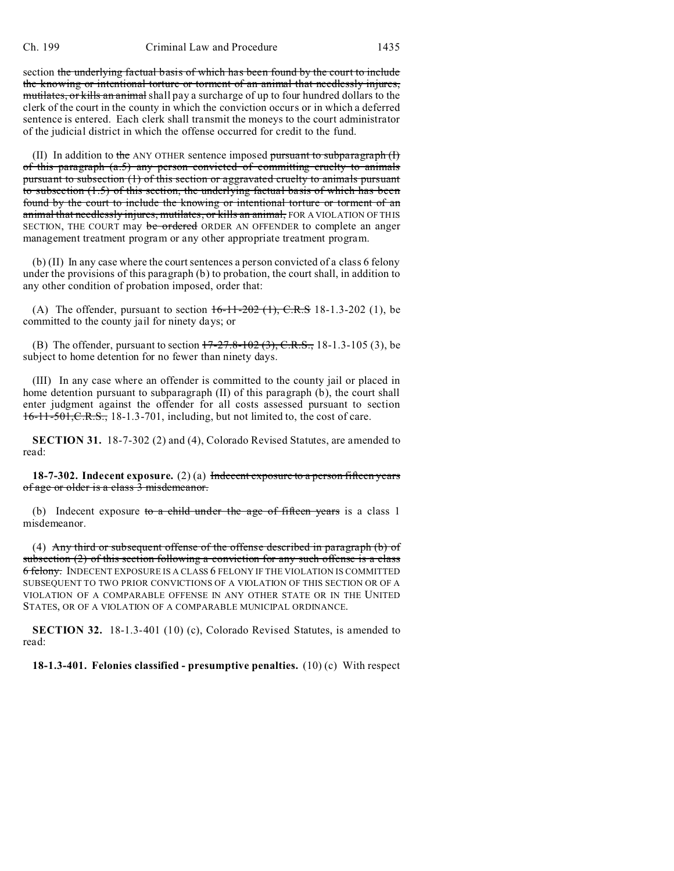section the underlying factual basis of which has been found by the court to include the knowing or intentional torture or torment of an animal that needlessly injures, mutilates, or kills an animal shall pay a surcharge of up to four hundred dollars to the clerk of the court in the county in which the conviction occurs or in which a deferred sentence is entered. Each clerk shall transmit the moneys to the court administrator of the judicial district in which the offense occurred for credit to the fund.

(II) In addition to the ANY OTHER sentence imposed pursuant to subparagraph  $(f)$ of this paragraph (a.5) any person convicted of committing cruelty to animals pursuant to subsection (1) of this section or aggravated cruelty to animals pursuant to subsection (1.5) of this section, the underlying factual basis of which has been found by the court to include the knowing or intentional torture or torment of an animal that needlessly injures, mutilates, or kills an animal, FOR A VIOLATION OF THIS SECTION, THE COURT may be ordered ORDER AN OFFENDER to complete an anger management treatment program or any other appropriate treatment program.

(b) (II) In any case where the court sentences a person convicted of a class 6 felony under the provisions of this paragraph (b) to probation, the court shall, in addition to any other condition of probation imposed, order that:

(A) The offender, pursuant to section  $16-11-202$  (1),  $C.R.S$  18-1.3-202 (1), be committed to the county jail for ninety days; or

(B) The offender, pursuant to section  $17-27.8-102(3)$ , C.R.S., 18-1.3-105 (3), be subject to home detention for no fewer than ninety days.

(III) In any case where an offender is committed to the county jail or placed in home detention pursuant to subparagraph (II) of this paragraph (b), the court shall enter judgment against the offender for all costs assessed pursuant to section 16-11-501,C.R.S., 18-1.3-701, including, but not limited to, the cost of care.

**SECTION 31.** 18-7-302 (2) and (4), Colorado Revised Statutes, are amended to read:

**18-7-302. Indecent exposure.** (2) (a) Indecent exposure to a person fifteen years of age or older is a class 3 misdemeanor.

(b) Indecent exposure to a child under the age of fifteen years is a class 1 misdemeanor.

(4) Any third or subsequent offense of the offense described in paragraph (b) of subsection (2) of this section following a conviction for any such offense is a class 6 felony. INDECENT EXPOSURE IS A CLASS 6 FELONY IF THE VIOLATION IS COMMITTED SUBSEQUENT TO TWO PRIOR CONVICTIONS OF A VIOLATION OF THIS SECTION OR OF A VIOLATION OF A COMPARABLE OFFENSE IN ANY OTHER STATE OR IN THE UNITED STATES, OR OF A VIOLATION OF A COMPARABLE MUNICIPAL ORDINANCE.

**SECTION 32.** 18-1.3-401 (10) (c), Colorado Revised Statutes, is amended to read:

**18-1.3-401. Felonies classified - presumptive penalties.** (10) (c) With respect